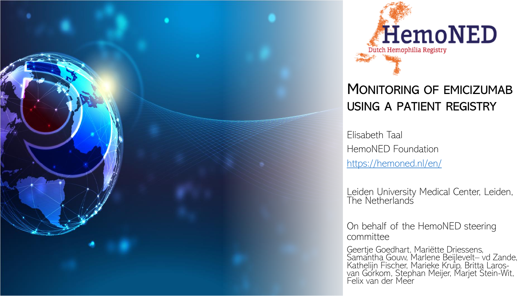



# MONITORING OF EMICIZUMAB USING A PATIENT REGISTRY

Elisabeth Taal HemoNED Foundation <https://hemoned.nl/en/>

Leiden University Medical Center, Leiden, The Netherlands

On behalf of the HemoNED steering committee

Geertje Goedhart, Mariëtte Driessens, Samantha Gouw, Marlene Beijlevelt– vd Zande, Kathelijn Fischer, Marieke Kruip, Britta Larosvan Gorkom, Stephan Meijer, Marjet Stein-Wit, Felix van der Meer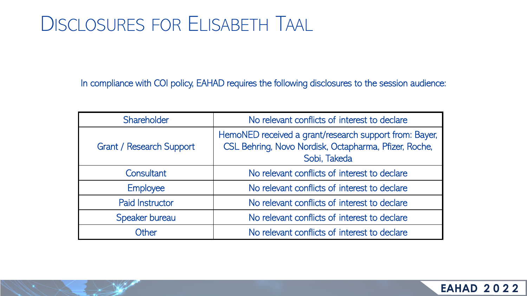# DISCLOSURES FOR ELISABETH TAAL

In compliance with COI policy, EAHAD requires the following disclosures to the session audience:

| Shareholder                     | No relevant conflicts of interest to declare                                                                                    |  |
|---------------------------------|---------------------------------------------------------------------------------------------------------------------------------|--|
| <b>Grant / Research Support</b> | HemoNED received a grant/research support from: Bayer,<br>CSL Behring, Novo Nordisk, Octapharma, Pfizer, Roche,<br>Sobi, Takeda |  |
| Consultant                      | No relevant conflicts of interest to declare                                                                                    |  |
| <b>Employee</b>                 | No relevant conflicts of interest to declare                                                                                    |  |
| <b>Paid Instructor</b>          | No relevant conflicts of interest to declare                                                                                    |  |
| Speaker bureau                  | No relevant conflicts of interest to declare                                                                                    |  |
| Other                           | No relevant conflicts of interest to declare                                                                                    |  |

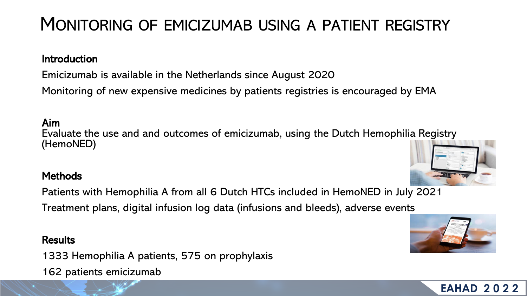# MONITORING OF EMICIZUMAB USING A PATIENT REGISTRY

### **Introduction**

Emicizumab is available in the Netherlands since August 2020

Monitoring of new expensive medicines by patients registries is encouraged by EMA

### Aim

Evaluate the use and and outcomes of emicizumab, using the Dutch Hemophilia Registry (HemoNED)

### **Methods**

Patients with Hemophilia A from all 6 Dutch HTCs included in HemoNED in July 2021

Treatment plans, digital infusion log data (infusions and bleeds), adverse events

## **Results**

1333 Hemophilia A patients, 575 on prophylaxis 162 patients emicizumab





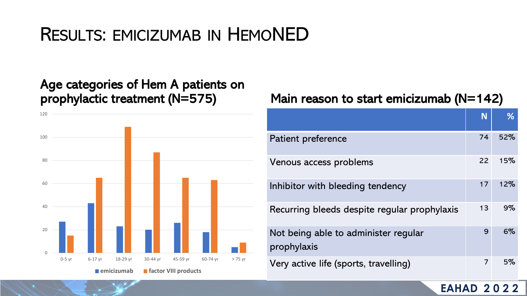# RESULTS: EMICIZUMAB IN HEMONED

# Age categories of Hem A patients on



# prophylactic treatment (N=575) Main reason to start emicizumab (N=142)

|                                                     | N  | %   |
|-----------------------------------------------------|----|-----|
| <b>Patient preference</b>                           | 74 | 52% |
| Venous access problems                              |    | 15% |
| Inhibitor with bleeding tendency                    |    | 12% |
| Recurring bleeds despite regular prophylaxis        |    | 9%  |
| Not being able to administer reqular<br>prophylaxis |    | 6%  |
| Very active life (sports, travelling)               |    | 5%  |

## **EAHAD 2022**